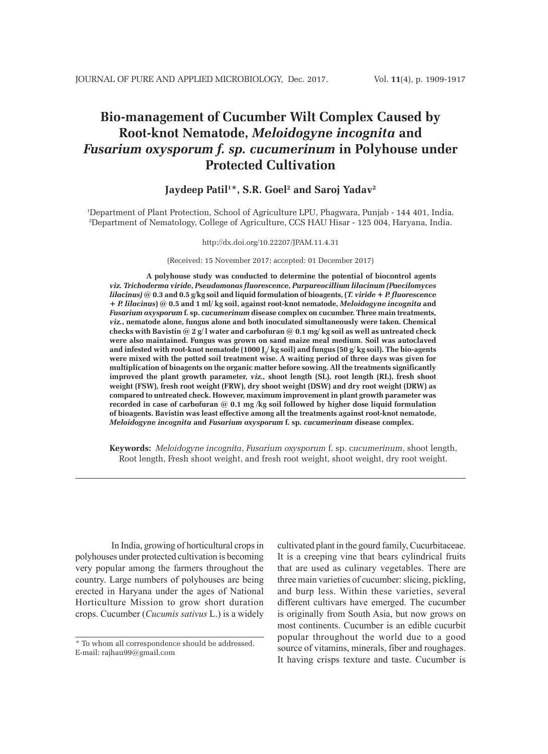# **Bio-management of Cucumber Wilt Complex Caused by Root-knot Nematode,** *Meloidogyne incognita* **and**  *Fusarium oxysporum f. sp. cucumerinum* **in Polyhouse under Protected Cultivation**

# **Jaydeep Patil1 \*, S.R. Goel2 and Saroj Yadav2**

1 Department of Plant Protection, School of Agriculture LPU, Phagwara, Punjab - 144 401, India. 2 Department of Nematology, College of Agriculture, CCS HAU Hisar - 125 004, Haryana, India.

#### http://dx.doi.org/10.22207/JPAM.11.4.31

(Received: 15 November 2017; accepted: 01 December 2017)

 **A polyhouse study was conducted to determine the potential of biocontrol agents** *viz. Trichoderma viride***,** *Pseudomonas fluorescence***,** *Purpureocillium lilacinum (Paecilomyces lilacinus)* **@ 0.3 and 0.5 g/kg soil and liquid formulation of bioagents, (***T. viride* **+** *P. fluorescence* **+** *P. lilacinus***) @ 0.5 and 1 ml/ kg soil, against root-knot nematode,** *Meloidogyne incognita* **and**  *Fusarium oxysporum* **f. sp.** *cucumerinum* **disease complex on cucumber. Three main treatments,**  *viz.***, nematode alone, fungus alone and both inoculated simultaneously were taken. Chemical checks with Bavistin @ 2 g/ l water and carbofuran @ 0.1 mg/ kg soil as well as untreated check were also maintained. Fungus was grown on sand maize meal medium. Soil was autoclaved**  and infested with root-knot nematode (1000 J<sub>2</sub>/ kg soil) and fungus (50 g/ kg soil). The bio-agents **were mixed with the potted soil treatment wise. A waiting period of three days was given for multiplication of bioagents on the organic matter before sowing. All the treatments significantly improved the plant growth parameter,** *viz.,* **shoot length (SL), root length (RL), fresh shoot weight (FSW), fresh root weight (FRW), dry shoot weight (DSW) and dry root weight (DRW) as compared to untreated check. However, maximum improvement in plant growth parameter was recorded in case of carbofuran @ 0.1 mg /kg soil followed by higher dose liquid formulation of bioagents. Bavistin was least effective among all the treatments against root-knot nematode,**  *Meloidogyne incognita* **and** *Fusarium oxysporum* **f. sp.** *cucumerinum* **disease complex.**

**Keywords:** *Meloidogyne incognita*, *Fusarium oxysporum* f. sp. c*ucumerinum*, shoot length, Root length, Fresh shoot weight, and fresh root weight, shoot weight, dry root weight.

In India, growing of horticultural crops in polyhouses under protected cultivation is becoming very popular among the farmers throughout the country. Large numbers of polyhouses are being erected in Haryana under the ages of National Horticulture Mission to grow short duration crops. Cucumber (*Cucumis sativus* L.) is a widely

cultivated plant in the gourd family, Cucurbitaceae. It is a creeping vine that bears cylindrical fruits that are used as culinary vegetables. There are three main varieties of cucumber: slicing, pickling, and burp less. Within these varieties, several different cultivars have emerged. The cucumber is originally from South Asia, but now grows on most continents. Cucumber is an edible cucurbit popular throughout the world due to a good source of vitamins, minerals, fiber and roughages. It having crisps texture and taste. Cucumber is

<sup>\*</sup> To whom all correspondence should be addressed. E-mail: rajhau99@gmail.com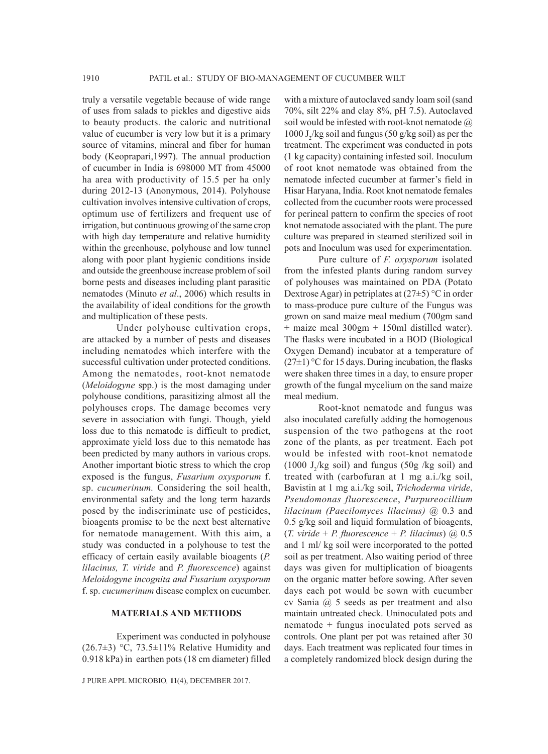truly a versatile vegetable because of wide range of uses from salads to pickles and digestive aids to beauty products. the caloric and nutritional value of cucumber is very low but it is a primary source of vitamins, mineral and fiber for human body (Keoprapari,1997). The annual production of cucumber in India is 698000 MT from 45000 ha area with productivity of 15.5 per ha only during 2012-13 (Anonymous, 2014). Polyhouse cultivation involves intensive cultivation of crops, optimum use of fertilizers and frequent use of irrigation, but continuous growing of the same crop with high day temperature and relative humidity within the greenhouse, polyhouse and low tunnel along with poor plant hygienic conditions inside and outside the greenhouse increase problem of soil borne pests and diseases including plant parasitic nematodes (Minuto *et al*., 2006) which results in the availability of ideal conditions for the growth and multiplication of these pests.

Under polyhouse cultivation crops, are attacked by a number of pests and diseases including nematodes which interfere with the successful cultivation under protected conditions. Among the nematodes, root-knot nematode (*Meloidogyne* spp.) is the most damaging under polyhouse conditions, parasitizing almost all the polyhouses crops. The damage becomes very severe in association with fungi. Though, yield loss due to this nematode is difficult to predict, approximate yield loss due to this nematode has been predicted by many authors in various crops. Another important biotic stress to which the crop exposed is the fungus, *Fusarium oxysporum* f. sp. *cucumerinum.* Considering the soil health, environmental safety and the long term hazards posed by the indiscriminate use of pesticides, bioagents promise to be the next best alternative for nematode management. With this aim, a study was conducted in a polyhouse to test the efficacy of certain easily available bioagents (*P. lilacinus, T. viride* and *P. fluorescence*) against *Meloidogyne incognita and Fusarium oxysporum*  f. sp. *cucumerinum* disease complex on cucumber.

# **MATERIALS AND METHODS**

Experiment was conducted in polyhouse  $(26.7\pm3)$  °C, 73.5 $\pm$ 11% Relative Humidity and 0.918 kPa) in earthen pots (18 cm diameter) filled

J PURE APPL MICROBIO*,* **11**(4), DECEMBER 2017.

with a mixture of autoclaved sandy loam soil (sand 70%, silt 22% and clay 8%, pH 7.5). Autoclaved soil would be infested with root-knot nematode @ 1000  $J_2$ /kg soil and fungus (50 g/kg soil) as per the treatment. The experiment was conducted in pots (1 kg capacity) containing infested soil. Inoculum of root knot nematode was obtained from the nematode infected cucumber at farmer's field in Hisar Haryana, India. Root knot nematode females collected from the cucumber roots were processed for perineal pattern to confirm the species of root knot nematode associated with the plant. The pure culture was prepared in steamed sterilized soil in pots and Inoculum was used for experimentation.

Pure culture of *F. oxysporum* isolated from the infested plants during random survey of polyhouses was maintained on PDA (Potato Dextrose Agar) in petriplates at  $(27\pm5)$  °C in order to mass-produce pure culture of the Fungus was grown on sand maize meal medium (700gm sand + maize meal 300gm + 150ml distilled water). The flasks were incubated in a BOD (Biological Oxygen Demand) incubator at a temperature of  $(27\pm1)$  °C for 15 days. During incubation, the flasks were shaken three times in a day, to ensure proper growth of the fungal mycelium on the sand maize meal medium.

Root-knot nematode and fungus was also inoculated carefully adding the homogenous suspension of the two pathogens at the root zone of the plants, as per treatment. Each pot would be infested with root-knot nematode (1000  $J_2$ /kg soil) and fungus (50g /kg soil) and treated with (carbofuran at 1 mg a.i./kg soil, Bavistin at 1 mg a.i./kg soil, *Trichoderma viride*, *Pseudomonas fluorescence*, *Purpureocillium lilacinum (Paecilomyces lilacinus)* @ 0.3 and 0.5 g/kg soil and liquid formulation of bioagents, (*T. viride* + *P. fluorescence* + *P. lilacinus*) @ 0.5 and 1 ml/ kg soil were incorporated to the potted soil as per treatment. Also waiting period of three days was given for multiplication of bioagents on the organic matter before sowing. After seven days each pot would be sown with cucumber cv Sania @ 5 seeds as per treatment and also maintain untreated check. Uninoculated pots and nematode + fungus inoculated pots served as controls. One plant per pot was retained after 30 days. Each treatment was replicated four times in a completely randomized block design during the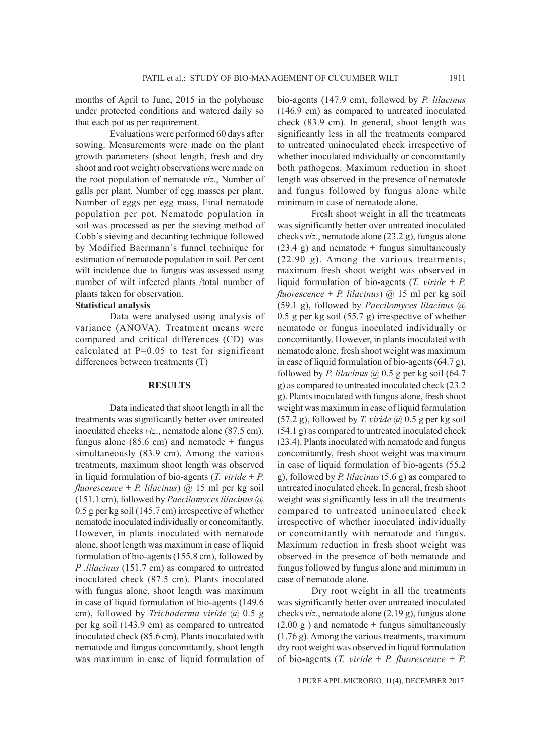months of April to June, 2015 in the polyhouse under protected conditions and watered daily so that each pot as per requirement.

Evaluations were performed 60 days after sowing. Measurements were made on the plant growth parameters (shoot length, fresh and dry shoot and root weight) observations were made on the root population of nematode *viz*., Number of galls per plant, Number of egg masses per plant, Number of eggs per egg mass, Final nematode population per pot. Nematode population in soil was processed as per the sieving method of Cobb´s sieving and decanting technique followed by Modified Baermann´s funnel technique for estimation of nematode population in soil. Per cent wilt incidence due to fungus was assessed using number of wilt infected plants /total number of plants taken for observation.

## **Statistical analysis**

Data were analysed using analysis of variance (ANOVA). Treatment means were compared and critical differences (CD) was calculated at P=0.05 to test for significant differences between treatments (T)

### **RESULTS**

Data indicated that shoot length in all the treatments was significantly better over untreated inoculated checks *viz*., nematode alone (87.5 cm), fungus alone (85.6 cm) and nematode  $+$  fungus simultaneously (83.9 cm). Among the various treatments, maximum shoot length was observed in liquid formulation of bio-agents (*T. viride* + *P. fluorescence* + *P. lilacinus*) @ 15 ml per kg soil (151.1 cm), followed by *Paecilomyces lilacinus* @ 0.5 g per kg soil (145.7 cm) irrespective of whether nematode inoculated individually or concomitantly. However, in plants inoculated with nematode alone, shoot length was maximum in case of liquid formulation of bio-agents (155.8 cm), followed by *P .lilacinus* (151.7 cm) as compared to untreated inoculated check (87.5 cm). Plants inoculated with fungus alone, shoot length was maximum in case of liquid formulation of bio-agents (149.6 cm), followed by *Trichoderma viride* @ 0.5 g per kg soil (143.9 cm) as compared to untreated inoculated check (85.6 cm). Plants inoculated with nematode and fungus concomitantly, shoot length was maximum in case of liquid formulation of bio-agents (147.9 cm), followed by *P. lilacinus* (146.9 cm) as compared to untreated inoculated check (83.9 cm). In general, shoot length was significantly less in all the treatments compared to untreated uninoculated check irrespective of whether inoculated individually or concomitantly both pathogens. Maximum reduction in shoot length was observed in the presence of nematode and fungus followed by fungus alone while minimum in case of nematode alone.

Fresh shoot weight in all the treatments was significantly better over untreated inoculated checks *viz.*, nematode alone (23.2 g), fungus alone  $(23.4 \text{ g})$  and nematode + fungus simultaneously (22.90 g). Among the various treatments, maximum fresh shoot weight was observed in liquid formulation of bio-agents (*T. viride* + *P. fluorescence* + *P. lilacinus*) @ 15 ml per kg soil (59.1 g), followed by *Paecilomyces lilacinus* @ 0.5 g per kg soil (55.7 g) irrespective of whether nematode or fungus inoculated individually or concomitantly. However, in plants inoculated with nematode alone, fresh shoot weight was maximum in case of liquid formulation of bio-agents (64.7 g), followed by *P. lilacinus*  $\omega$  0.5 g per kg soil (64.7) g) as compared to untreated inoculated check (23.2 g). Plants inoculated with fungus alone, fresh shoot weight was maximum in case of liquid formulation (57.2 g), followed by *T. viride* @ 0.5 g per kg soil (54.1 g) as compared to untreated inoculated check (23.4). Plants inoculated with nematode and fungus concomitantly, fresh shoot weight was maximum in case of liquid formulation of bio-agents (55.2 g), followed by *P. lilacinus* (5.6 g) as compared to untreated inoculated check. In general, fresh shoot weight was significantly less in all the treatments compared to untreated uninoculated check irrespective of whether inoculated individually or concomitantly with nematode and fungus. Maximum reduction in fresh shoot weight was observed in the presence of both nematode and fungus followed by fungus alone and minimum in case of nematode alone.

Dry root weight in all the treatments was significantly better over untreated inoculated checks *viz.*, nematode alone (2.19 g), fungus alone  $(2.00 \text{ g})$  and nematode + fungus simultaneously (1.76 g). Among the various treatments, maximum dry root weight was observed in liquid formulation of bio-agents (*T. viride* + *P. fluorescence* + *P.*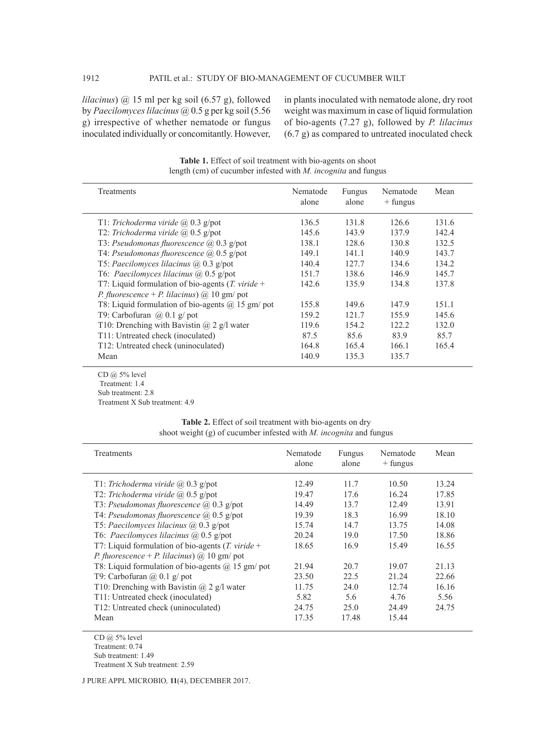*lilacinus*) @ 15 ml per kg soil (6.57 g), followed by *Paecilomyces lilacinus* @ 0.5 g per kg soil (5.56 g) irrespective of whether nematode or fungus inoculated individually or concomitantly. However, in plants inoculated with nematode alone, dry root weight was maximum in case of liquid formulation of bio-agents (7.27 g), followed by *P. lilacinus* (6.7 g) as compared to untreated inoculated check

| <b>Treatments</b>                                                  | Nematode<br>alone | Fungus<br>alone | Nematode<br>$+$ fungus | Mean  |
|--------------------------------------------------------------------|-------------------|-----------------|------------------------|-------|
| T1: Trichoderma viride $(a)$ 0.3 g/pot                             | 136.5             | 131.8           | 126.6                  | 131.6 |
| T2: Trichoderma viride $(a)$ 0.5 g/pot                             | 145.6             | 143.9           | 137.9                  | 142.4 |
| T3: Pseudomonas fluorescence $(a)$ 0.3 g/pot                       | 138.1             | 128.6           | 130.8                  | 132.5 |
| T4: Pseudomonas fluorescence $(a)$ 0.5 g/pot                       | 149.1             | 141.1           | 140.9                  | 143.7 |
| T5: Paecilomyces lilacinus $(a)$ 0.3 g/pot                         | 140.4             | 127.7           | 134.6                  | 134.2 |
| T6: Paecilomyces lilacinus $(a)$ 0.5 g/pot                         | 151.7             | 138.6           | 146.9                  | 145.7 |
| T7: Liquid formulation of bio-agents $(T. viride +$                | 142.6             | 135.9           | 134.8                  | 137.8 |
| <i>P. fluorescence</i> + <i>P. lilacinus</i> ) $\omega$ 10 gm/ pot |                   |                 |                        |       |
| T8: Liquid formulation of bio-agents $(a)$ 15 gm/ pot              | 155.8             | 149.6           | 147.9                  | 151.1 |
| T9: Carbofuran $(a)$ 0.1 g/ pot                                    | 159.2             | 1217            | 155.9                  | 145.6 |
| T10: Drenching with Bavistin $(a)$ 2 g/l water                     | 119.6             | 154.2           | 122.2                  | 132.0 |
| T11: Untreated check (inoculated)                                  | 87.5              | 85.6            | 83.9                   | 85.7  |
| T12: Untreated check (uninoculated)                                | 164.8             | 165.4           | 166.1                  | 165.4 |
| Mean                                                               | 140.9             | 135.3           | 135.7                  |       |

**Table 1.** Effect of soil treatment with bio-agents on shoot length (cm) of cucumber infested with *M. incognita* and fungus

CD @ 5% level Treatment: 1.4 Sub treatment: 2.8 Treatment X Sub treatment: 4.9

| <b>Table 2.</b> Effect of soil treatment with bio-agents on dry      |  |
|----------------------------------------------------------------------|--|
| shoot weight $(g)$ of cucumber infested with M. incognita and fungus |  |

| <b>Treatments</b>                                                                                                                                                                                                                                                                                                                           | Nematode<br>alone                                          | Fungus<br>alone                                      | Nematode<br>$+$ fungus                                      | Mean                                                        |
|---------------------------------------------------------------------------------------------------------------------------------------------------------------------------------------------------------------------------------------------------------------------------------------------------------------------------------------------|------------------------------------------------------------|------------------------------------------------------|-------------------------------------------------------------|-------------------------------------------------------------|
| T1: Trichoderma viride $(a)$ 0.3 g/pot<br>T2: Trichoderma viride $(a)$ 0.5 g/pot<br>T3: Pseudomonas fluorescence $(a)$ 0.3 g/pot<br>T4: Pseudomonas fluorescence $(a)$ 0.5 g/pot<br>T5: Paecilomyces lilacinus $(a)$ 0.3 g/pot<br>T6: Paecilomyces lilacinus $(a)$ 0.5 g/pot<br>T7: Liquid formulation of bio-agents ( <i>T. viride</i> $+$ | 12.49<br>1947<br>14.49<br>19.39<br>15.74<br>20.24<br>18.65 | 11.7<br>17.6<br>13.7<br>18.3<br>14.7<br>19.0<br>16.9 | 10.50<br>16.24<br>12.49<br>16.99<br>13.75<br>17.50<br>15.49 | 13.24<br>17.85<br>13.91<br>18.10<br>14.08<br>18.86<br>16.55 |
| <i>P. fluorescence</i> + <i>P. lilacinus</i> ) $\omega$ 10 gm/ pot<br>T8: Liquid formulation of bio-agents $(a)$ 15 gm/ pot<br>T9: Carbofuran $(a)$ 0.1 g/ pot<br>T10: Drenching with Bavistin $(a)$ 2 g/l water<br>T11: Untreated check (inoculated)<br>T12: Untreated check (uninoculated)<br>Mean                                        | 21.94<br>23.50<br>11.75<br>5.82<br>24.75<br>17.35          | 20.7<br>22.5<br>24.0<br>5.6<br>25.0<br>17.48         | 19.07<br>21.24<br>12.74<br>4.76<br>24.49<br>15.44           | 21.13<br>22.66<br>16.16<br>5.56<br>24.75                    |

CD @ 5% level Treatment: 0.74 Sub treatment: 1.49 Treatment X Sub treatment: 2.59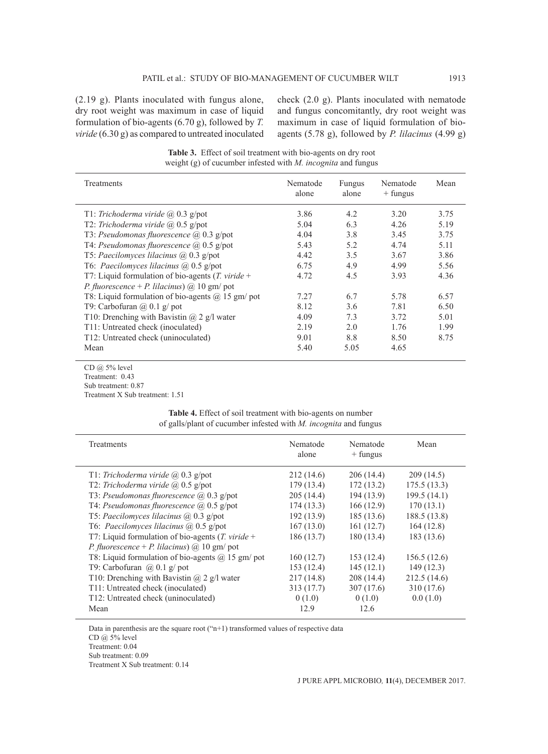(2.19 g). Plants inoculated with fungus alone, dry root weight was maximum in case of liquid formulation of bio-agents (6.70 g), followed by *T. viride* (6.30 g) as compared to untreated inoculated check (2.0 g). Plants inoculated with nematode and fungus concomitantly, dry root weight was maximum in case of liquid formulation of bioagents (5.78 g), followed by *P. lilacinus* (4.99 g)

**Table 3.** Effect of soil treatment with bio-agents on dry root weight (g) of cucumber infested with *M. incognita* and fungus

| Treatments                                                         | Nematode<br>alone | Fungus<br>alone | Nematode<br>$+$ fungus | Mean  |
|--------------------------------------------------------------------|-------------------|-----------------|------------------------|-------|
| T1: Trichoderma viride $(a)$ 0.3 g/pot                             | 3.86              | 4.2             | 3.20                   | 3.75  |
| T2: Trichoderma viride $(a)$ 0.5 g/pot                             | 5.04              | 6.3             | 4.26                   | 5.19  |
| T3: Pseudomonas fluorescence $(a)$ 0.3 g/pot                       | 4.04              | 3.8             | 3.45                   | 3.75  |
| T4: Pseudomonas fluorescence $(a)$ 0.5 g/pot                       | 5.43              | 5.2             | 4.74                   | 5 1 1 |
| T5: Paecilomyces lilacinus $(a)$ 0.3 g/pot                         | 4.42              | 3.5             | 3.67                   | 3.86  |
| T6: Paecilomyces lilacinus $(a)$ 0.5 g/pot                         | 6.75              | 4.9             | 4.99                   | 5.56  |
| T7: Liquid formulation of bio-agents ( <i>T. viride</i> $+$        | 4.72              | 4.5             | 3.93                   | 4.36  |
| <i>P. fluorescence</i> + <i>P. lilacinus</i> ) $\omega$ 10 gm/ pot |                   |                 |                        |       |
| T8: Liquid formulation of bio-agents $(a)$ 15 gm/ pot              | 7.27              | 6.7             | 5.78                   | 6.57  |
| T9: Carbofuran $\omega(0.1)$ g/ pot                                | 8.12              | 3.6             | 7.81                   | 6.50  |
| T10: Drenching with Bavistin $(a)$ 2 g/l water                     | 4.09              | 7.3             | 3.72                   | 5.01  |
| T11: Untreated check (inoculated)                                  | 2.19              | 2.0             | 1.76                   | 1.99  |
| T12: Untreated check (uninoculated)                                | 9.01              | 8.8             | 8.50                   | 8.75  |
| Mean                                                               | 5.40              | 5.05            | 4.65                   |       |
|                                                                    |                   |                 |                        |       |

CD @ 5% level Treatment: 0.43 Sub treatment: 0.87 Treatment X Sub treatment: 1.51

|                                                                         | <b>Table 4.</b> Effect of soil treatment with bio-agents on number |  |  |  |
|-------------------------------------------------------------------------|--------------------------------------------------------------------|--|--|--|
| of galls/plant of cucumber infested with <i>M. incognita</i> and fungus |                                                                    |  |  |  |

| <b>Treatments</b>                                                  | Nematode<br>alone | Nematode<br>$+$ fungus | Mean        |
|--------------------------------------------------------------------|-------------------|------------------------|-------------|
| T1: Trichoderma viride $(a)$ , 0.3 g/pot                           | 212(14.6)         | 206(14.4)              | 209(14.5)   |
| T2: Trichoderma viride $(a)$ , 0.5 g/pot                           | 179(13.4)         | 172(13.2)              | 175.5(13.3) |
| T3: Pseudomonas fluorescence $(a)$ 0.3 g/pot                       | 205(14.4)         | 194(13.9)              | 199.5(14.1) |
| T4: Pseudomonas fluorescence $(a)$ 0.5 g/pot                       | 174(13.3)         | 166(12.9)              | 170(13.1)   |
| T5: Paecilomyces lilacinus $(a)$ 0.3 g/pot                         | 192(13.9)         | 185(13.6)              | 188.5(13.8) |
| T6: Paecilomyces lilacinus $(a)$ 0.5 g/pot                         | 167(13.0)         | 161(12.7)              | 164(12.8)   |
| T7: Liquid formulation of bio-agents $(T. viride +$                | 186(13.7)         | 180(13.4)              | 183 (13.6)  |
| <i>P. fluorescence</i> + <i>P. lilacinus</i> ) $\omega$ 10 gm/ pot |                   |                        |             |
| T8: Liquid formulation of bio-agents $(a)$ 15 gm/ pot              | 160(12.7)         | 153(12.4)              | 156.5(12.6) |
| T9: Carbofuran $(a)$ 0.1 g/ pot                                    | 153(12.4)         | 145(12.1)              | 149(12.3)   |
| T10: Drenching with Bavistin $(a)$ 2 g/l water                     | 217(14.8)         | 208(14.4)              | 212.5(14.6) |
| T11: Untreated check (inoculated)                                  | 313(17.7)         | 307(17.6)              | 310 (17.6)  |
| T12: Untreated check (uninoculated)                                | 0(1.0)            | 0(1.0)                 | 0.0(1.0)    |
| Mean                                                               | 12.9              | 12.6                   |             |

Data in parenthesis are the square root ("n+1) transformed values of respective data

CD  $\ddot{\omega}$  5% level

Treatment: 0.04

Sub treatment: 0.09

Treatment X Sub treatment: 0.14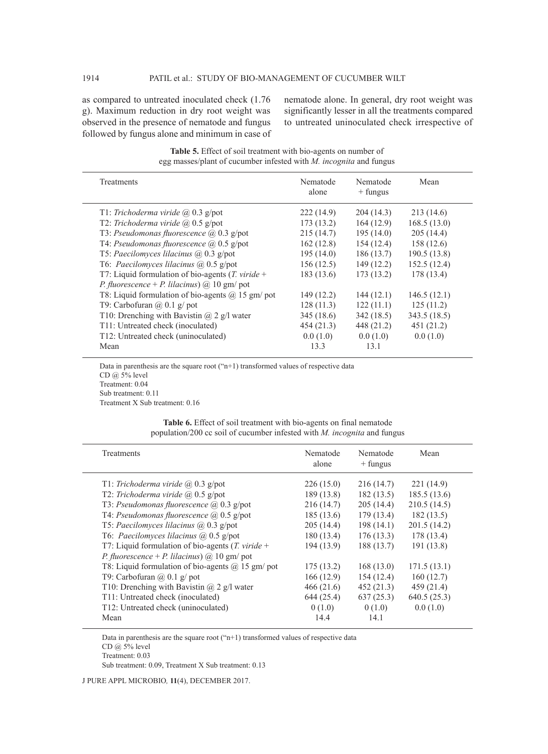as compared to untreated inoculated check (1.76 g). Maximum reduction in dry root weight was observed in the presence of nematode and fungus followed by fungus alone and minimum in case of nematode alone. In general, dry root weight was significantly lesser in all the treatments compared to untreated uninoculated check irrespective of

| Treatments                                                         | Nematode<br>alone | Nematode<br>$+$ fungus | Mean         |
|--------------------------------------------------------------------|-------------------|------------------------|--------------|
| T1: Trichoderma viride $(a)$ 0.3 g/pot                             | 222(14.9)         | 204(14.3)              | 213(14.6)    |
| T2: Trichoderma viride $(a)$ , 0.5 g/pot                           | 173(13.2)         | 164(12.9)              | 168.5(13.0)  |
| T3: Pseudomonas fluorescence @ 0.3 g/pot                           | 215(14.7)         | 195(14.0)              | 205(14.4)    |
| T4: Pseudomonas fluorescence $(a)$ 0.5 g/pot                       | 162(12.8)         | 154(12.4)              | 158 (12.6)   |
| T5: Paecilomyces lilacinus $(a)$ 0.3 g/pot                         | 195(14.0)         | 186(13.7)              | 190.5 (13.8) |
| T6: Paecilomyces lilacinus $(a)$ 0.5 g/pot                         | 156(12.5)         | 149(12.2)              | 152.5(12.4)  |
| T7: Liquid formulation of bio-agents $(T. viride +$                | 183(13.6)         | 173(13.2)              | 178 (13.4)   |
| <i>P. fluorescence</i> + <i>P. lilacinus</i> ) $\omega$ 10 gm/ pot |                   |                        |              |
| T8: Liquid formulation of bio-agents $(a)$ 15 gm/ pot              | 149(12.2)         | 144(12.1)              | 146.5(12.1)  |
| T9: Carbofuran $\omega(0.1)$ g/ pot                                | 128(11.3)         | 122(11.1)              | 125(11.2)    |
| T10: Drenching with Bavistin $(a)$ 2 g/l water                     | 345(18.6)         | 342(18.5)              | 343.5 (18.5) |
| T11: Untreated check (inoculated)                                  | 454(21.3)         | 448 (21.2)             | 451 (21.2)   |
| T12: Untreated check (uninoculated)                                | 0.0(1.0)          | 0.0(1.0)               | 0.0(1.0)     |
| Mean                                                               | 13.3              | 13.1                   |              |

**Table 5.** Effect of soil treatment with bio-agents on number of egg masses/plant of cucumber infested with *M. incognita* and fungus

Data in parenthesis are the square root ("n+1) transformed values of respective data CD  $\omega$  5% level Treatment: 0.04 Sub treatment: 0.11 Treatment X Sub treatment: 0.16

|  |  |  | <b>Table 6.</b> Effect of soil treatment with bio-agents on final nematode |  |
|--|--|--|----------------------------------------------------------------------------|--|
|  |  |  | population/200 cc soil of cucumber infested with M. incognita and fungus   |  |

| Treatments                                            | Nematode<br>alone | Nematode<br>$+$ fungus | Mean         |
|-------------------------------------------------------|-------------------|------------------------|--------------|
| T1: Trichoderma viride $(a)$ 0.3 g/pot                | 226(15.0)         | 216(14.7)              | 221 (14.9)   |
| T2: Trichoderma viride $(a)$ 0.5 g/pot                | 189(13.8)         | 182(13.5)              | 185.5(13.6)  |
| T3: Pseudomonas fluorescence $(a)$ 0.3 g/pot          | 216(14.7)         | 205(14.4)              | 210.5(14.5)  |
| T4: Pseudomonas fluorescence $(a)$ 0.5 g/pot          | 185(13.6)         | 179(13.4)              | 182(13.5)    |
| T5: Paecilomyces lilacinus $(a)$ 0.3 g/pot            | 205(14.4)         | 198(14.1)              | 201.5(14.2)  |
| T6: Paecilomyces lilacinus $(a)$ 0.5 g/pot            | 180(13.4)         | 176(13.3)              | 178 (13.4)   |
| T7: Liquid formulation of bio-agents $(T. viride +$   | 194(13.9)         | 188 (13.7)             | 191 (13.8)   |
| P. fluorescence + P. lilacinus) @ 10 gm/ pot          |                   |                        |              |
| T8: Liquid formulation of bio-agents $(a)$ 15 gm/ pot | 175(13.2)         | 168(13.0)              | 171.5(13.1)  |
| T9: Carbofuran $(a)$ 0.1 g/ pot                       | 166(12.9)         | 154(12.4)              | 160(12.7)    |
| T10: Drenching with Bavistin $(a)$ 2 g/l water        | 466(21.6)         | 452(21.3)              | 459 (21.4)   |
| T11: Untreated check (inoculated)                     | 644(25.4)         | 637(25.3)              | 640.5 (25.3) |
| T12: Untreated check (uninoculated)                   | 0(1.0)            | 0(1.0)                 | 0.0(1.0)     |
| Mean                                                  | 14.4              | 14.1                   |              |

Data in parenthesis are the square root ("n+1) transformed values of respective data

CD  $\omega$  5% level

Treatment: 0.03

Sub treatment: 0.09, Treatment X Sub treatment: 0.13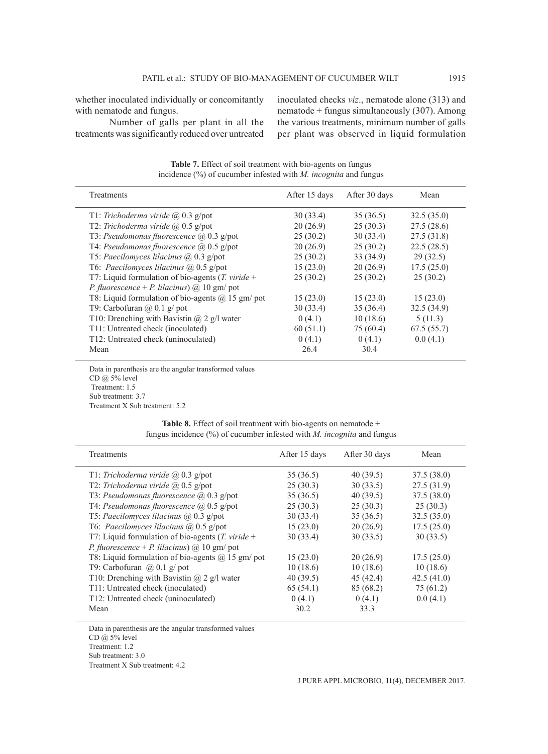whether inoculated individually or concomitantly with nematode and fungus.

Number of galls per plant in all the treatments was significantly reduced over untreated inoculated checks *viz*., nematode alone (313) and nematode + fungus simultaneously (307). Among the various treatments, minimum number of galls per plant was observed in liquid formulation

**Table 7.** Effect of soil treatment with bio-agents on fungus incidence (%) of cucumber infested with *M. incognita* and fungus

| Treatments                                                         | After 15 days | After 30 days | Mean       |
|--------------------------------------------------------------------|---------------|---------------|------------|
| T1: Trichoderma viride $(a)$ 0.3 g/pot                             | 30(33.4)      | 35(36.5)      | 32.5(35.0) |
| T2: Trichoderma viride $(a)$ 0.5 g/pot                             | 20(26.9)      | 25(30.3)      | 27.5(28.6) |
| T3: Pseudomonas fluorescence $(a)$ 0.3 g/pot                       | 25(30.2)      | 30(33.4)      | 27.5(31.8) |
| T4: Pseudomonas fluorescence $(a)$ 0.5 g/pot                       | 20(26.9)      | 25(30.2)      | 22.5(28.5) |
| T5: Paecilomyces lilacinus $(a)$ 0.3 g/pot                         | 25(30.2)      | 33 (34.9)     | 29(32.5)   |
| T6: Paecilomyces lilacinus $(a)$ 0.5 g/pot                         | 15(23.0)      | 20(26.9)      | 17.5(25.0) |
| T7: Liquid formulation of bio-agents $(T. viride +$                | 25(30.2)      | 25(30.2)      | 25(30.2)   |
| <i>P. fluorescence</i> + <i>P. lilacinus</i> ) $\omega$ 10 gm/ pot |               |               |            |
| T8: Liquid formulation of bio-agents $@$ 15 gm/ pot                | 15(23.0)      | 15(23.0)      | 15(23.0)   |
| T9: Carbofuran $\omega(0.1)$ g/ pot                                | 30(33.4)      | 35(36.4)      | 32.5(34.9) |
| T10: Drenching with Bavistin $(a)$ 2 g/l water                     | 0(4.1)        | 10(18.6)      | 5(11.3)    |
| T11: Untreated check (inoculated)                                  | 60(51.1)      | 75 (60.4)     | 67.5(55.7) |
| T12: Untreated check (uninoculated)                                | 0(4.1)        | 0(4.1)        | 0.0(4.1)   |
| Mean                                                               | 26.4          | 30.4          |            |

Data in parenthesis are the angular transformed values CD  $\omega$  5% level Treatment: 1.5 Sub treatment: 3.7 Treatment X Sub treatment: 5.2

| <b>Table 8.</b> Effect of soil treatment with bio-agents on nematode $+$  |  |  |
|---------------------------------------------------------------------------|--|--|
| fungus incidence $(\%)$ of cucumber infested with M. incognita and fungus |  |  |

| Treatments                                                         | After 15 days | After 30 days | Mean       |
|--------------------------------------------------------------------|---------------|---------------|------------|
| T1: Trichoderma viride $(a)$ 0.3 g/pot                             | 35(36.5)      | 40(39.5)      | 37.5(38.0) |
| T2: Trichoderma viride @ 0.5 g/pot                                 | 25(30.3)      | 30(33.5)      | 27.5(31.9) |
| T3: Pseudomonas fluorescence $(a)$ 0.3 g/pot                       | 35(36.5)      | 40(39.5)      | 37.5(38.0) |
| T4: Pseudomonas fluorescence $(a)$ 0.5 g/pot                       | 25(30.3)      | 25(30.3)      | 25(30.3)   |
| T5: Paecilomyces lilacinus $(a)$ 0.3 g/pot                         | 30(33.4)      | 35(36.5)      | 32.5(35.0) |
| T6: Paecilomyces lilacinus @ 0.5 g/pot                             | 15(23.0)      | 20(26.9)      | 17.5(25.0) |
| T7: Liquid formulation of bio-agents $(T. viride +$                | 30(33.4)      | 30(33.5)      | 30(33.5)   |
| <i>P. fluorescence</i> + <i>P. lilacinus</i> ) $\omega$ 10 gm/ pot |               |               |            |
| T8: Liquid formulation of bio-agents $(a)$ 15 gm/ pot              | 15(23.0)      | 20(26.9)      | 17.5(25.0) |
| T9: Carbofuran $(a)$ 0.1 g/ pot                                    | 10(18.6)      | 10(18.6)      | 10(18.6)   |
| T10: Drenching with Bavistin $(a)$ 2 g/l water                     | 40(39.5)      | 45(42.4)      | 42.5(41.0) |
| T11: Untreated check (inoculated)                                  | 65(54.1)      | 85 (68.2)     | 75 (61.2)  |
| T12: Untreated check (uninoculated)                                | 0(4.1)        | 0(4.1)        | 0.0(4.1)   |
| Mean                                                               | 30.2          | 33.3          |            |

Data in parenthesis are the angular transformed values CD @ 5% level Treatment: 1.2 Sub treatment: 3.0 Treatment X Sub treatment: 4.2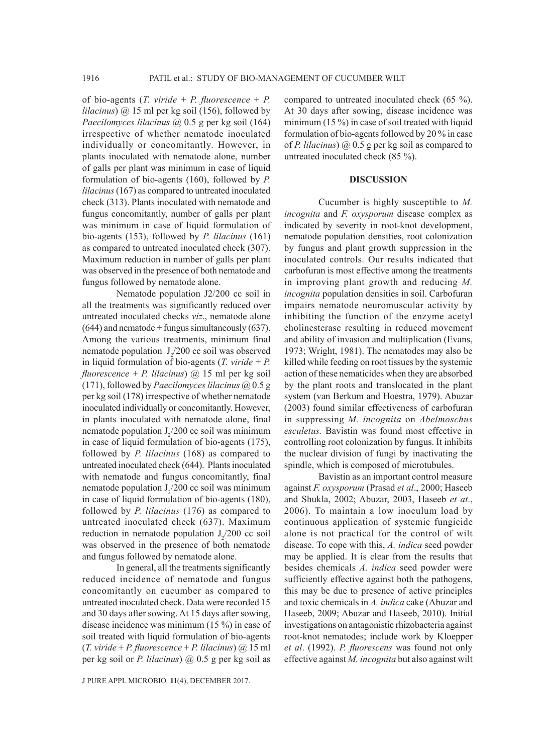of bio-agents (*T. viride* + *P. fluorescence* + *P. lilacinus*) @ 15 ml per kg soil (156), followed by *Paecilomyces lilacinus* @ 0.5 g per kg soil (164) irrespective of whether nematode inoculated individually or concomitantly. However, in plants inoculated with nematode alone, number of galls per plant was minimum in case of liquid formulation of bio-agents (160), followed by *P. lilacinus* (167) as compared to untreated inoculated check (313). Plants inoculated with nematode and fungus concomitantly, number of galls per plant was minimum in case of liquid formulation of bio-agents (153), followed by *P. lilacinus* (161) as compared to untreated inoculated check (307). Maximum reduction in number of galls per plant was observed in the presence of both nematode and fungus followed by nematode alone.

Nematode population J2/200 cc soil in all the treatments was significantly reduced over untreated inoculated checks *viz*., nematode alone  $(644)$  and nematode + fungus simultaneously  $(637)$ . Among the various treatments, minimum final nematode population  $J_2/200$  cc soil was observed in liquid formulation of bio-agents (*T. viride* + *P. fluorescence* + *P. lilacinus*) @ 15 ml per kg soil (171), followed by *Paecilomyces lilacinus* @ 0.5 g per kg soil (178) irrespective of whether nematode inoculated individually or concomitantly. However, in plants inoculated with nematode alone, final nematode population  $J_2/200$  cc soil was minimum in case of liquid formulation of bio-agents (175), followed by *P. lilacinus* (168) as compared to untreated inoculated check (644). Plants inoculated with nematode and fungus concomitantly, final nematode population  $J_2/200$  cc soil was minimum in case of liquid formulation of bio-agents (180), followed by *P. lilacinus* (176) as compared to untreated inoculated check (637). Maximum reduction in nematode population  $J_2/200$  cc soil was observed in the presence of both nematode and fungus followed by nematode alone.

In general, all the treatments significantly reduced incidence of nematode and fungus concomitantly on cucumber as compared to untreated inoculated check. Data were recorded 15 and 30 days after sowing. At 15 days after sowing, disease incidence was minimum (15 %) in case of soil treated with liquid formulation of bio-agents (*T. viride* + *P. fluorescence* + *P. lilacinus*) @ 15 ml per kg soil or *P. lilacinus*) @ 0.5 g per kg soil as

J PURE APPL MICROBIO*,* **11**(4), DECEMBER 2017.

compared to untreated inoculated check (65 %). At 30 days after sowing, disease incidence was minimum (15 %) in case of soil treated with liquid formulation of bio-agents followed by 20 % in case of *P. lilacinus*) @ 0.5 g per kg soil as compared to untreated inoculated check (85 %).

# **DISCUSSION**

Cucumber is highly susceptible to *M. incognita* and *F. oxysporum* disease complex as indicated by severity in root-knot development, nematode population densities, root colonization by fungus and plant growth suppression in the inoculated controls. Our results indicated that carbofuran is most effective among the treatments in improving plant growth and reducing *M. incognita* population densities in soil. Carbofuran impairs nematode neuromuscular activity by inhibiting the function of the enzyme acetyl cholinesterase resulting in reduced movement and ability of invasion and multiplication (Evans, 1973; Wright, 1981). The nematodes may also be killed while feeding on root tissues by the systemic action of these nematicides when they are absorbed by the plant roots and translocated in the plant system (van Berkum and Hoestra, 1979). Abuzar (2003) found similar effectiveness of carbofuran in suppressing *M. incognita* on *Abelmoschus esculetus.* Bavistin was found most effective in controlling root colonization by fungus. It inhibits the nuclear division of fungi by inactivating the spindle, which is composed of microtubules.

Bavistin as an important control measure against *F. oxysporum* (Prasad *et al*., 2000; Haseeb and Shukla, 2002; Abuzar, 2003, Haseeb *et at*., 2006). To maintain a low inoculum load by continuous application of systemic fungicide alone is not practical for the control of wilt disease. To cope with this, *A. indica* seed powder may be applied. It is clear from the results that besides chemicals *A. indica* seed powder were sufficiently effective against both the pathogens, this may be due to presence of active principles and toxic chemicals in *A. indica* cake (Abuzar and Haseeb, 2009; Abuzar and Haseeb, 2010). Initial investigations on antagonistic rhizobacteria against root-knot nematodes; include work by Kloepper *et al*. (1992). *P. fluorescens* was found not only effective against *M. incognita* but also against wilt